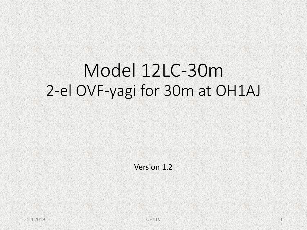# Model 12LC-30m 2-el OVF-yagi for 30m at OH1AJ

Version 1.2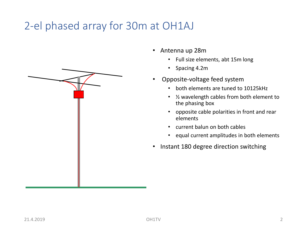## 2-el phased array for 30m at OH1AJ



- Full size elements, abt 15m long
- Spacing 4.2m
- Opposite-voltage feed system
	- both elements are tuned to 10125kHz
	- ½ wavelength cables from both element to the phasing box
	- opposite cable polarities in front and rear elements
	- current balun on both cables
	- equal current amplitudes in both elements
- Instant 180 degree direction switching

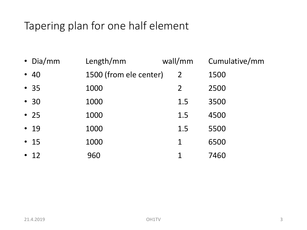## Tapering plan for one half element

| • Dia/mm   | Length/mm              | wall/mm        | Cumulative/mm |
|------------|------------------------|----------------|---------------|
| $\cdot$ 40 | 1500 (from ele center) | $\overline{2}$ | 1500          |
| • 35       | 1000                   | $\overline{2}$ | 2500          |
| $\cdot$ 30 | 1000                   | 1.5            | 3500          |
| $\cdot$ 25 | 1000                   | 1.5            | 4500          |
| $\cdot$ 19 | 1000                   | 1.5            | 5500          |
| $\cdot$ 15 | 1000                   | 1              | 6500          |
| $\cdot$ 12 | 960                    | 1              | 7460          |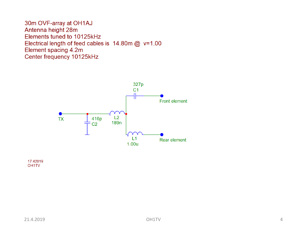30m OVF-array at OH1AJ Antenna height 28m Elements tuned to 10125kHz Electrical length of feed cables is  $14.80$ m @ v=1.00 Element spacing 4.2m Center frequency 10125kHz



17.42019 OH<sub>1</sub>TV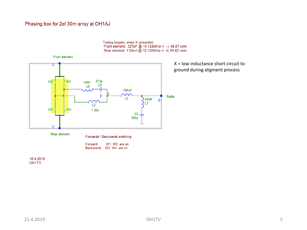#### Phasing box for 2el 30m array at OH1AJ

Tuning targets, when X grounded:<br>Front element:  $327pF \text{ @ } 10.125MHz = -j 48.07 ohm$ <br>Rear element:  $1.00uH \text{ @ } 10.125MHz = +j 63.62 ohm$ 



X = low inductance short circuit to ground during aligment process

18.4.2019 OH1TV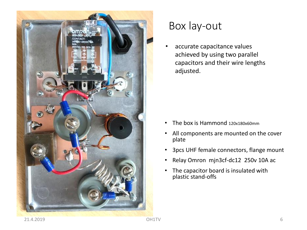

### Box lay-out

accurate capacitance values achieved by using two parallel capacitors and their wire lengths adjusted.

- The box is Hammond 120x180x60mm
- All components are mounted on the cover plate
- 3pcs UHF female connectors, flange mount
- Relay Omron mjn3cf-dc12 250v 10A ac
- The capacitor board is insulated with plastic stand-offs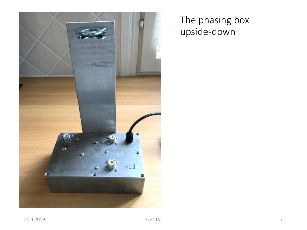

### The phasing box upside-down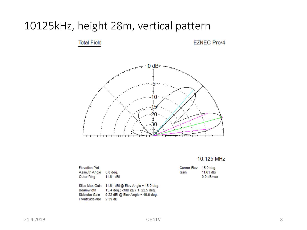### 10125kHz, height 28m, vertical pattern

**Total Field** 

**EZNEC Pro/4** 



### 10.125 MHz

| <b>Elevation Plot</b> |                                                   | Cursor Elev | 15.0 deg. |
|-----------------------|---------------------------------------------------|-------------|-----------|
| Azimuth Angle         | $0.0$ deg.                                        | Gain        | 11.61 dBi |
| Outer Ring            | 11.61 dBi                                         |             | 0.0 dBmax |
|                       |                                                   |             |           |
|                       | Slice Max Gain 11.61 dBi @ Elev Angle = 15.0 deg. |             |           |
| Beamwidth             | 15.4 deg.; -3dB @ 7.1, 22.5 deg.                  |             |           |
| Sidelobe Gain         | $9.22$ dBi @ Elev Angle = 49.0 deg.               |             |           |
| Front/Sidelobe        | $2.39 \text{ dB}$                                 |             |           |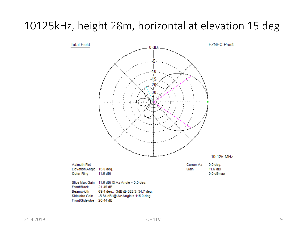### 10125kHz, height 28m, horizontal at elevation 15 deg

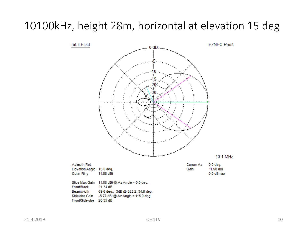### 10100kHz, height 28m, horizontal at elevation 15 deg

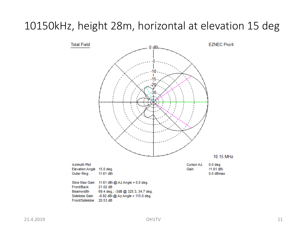### 10150kHz, height 28m, horizontal at elevation 15 deg

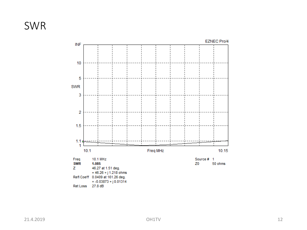### SWR

#### **EZNEC Pro/4**